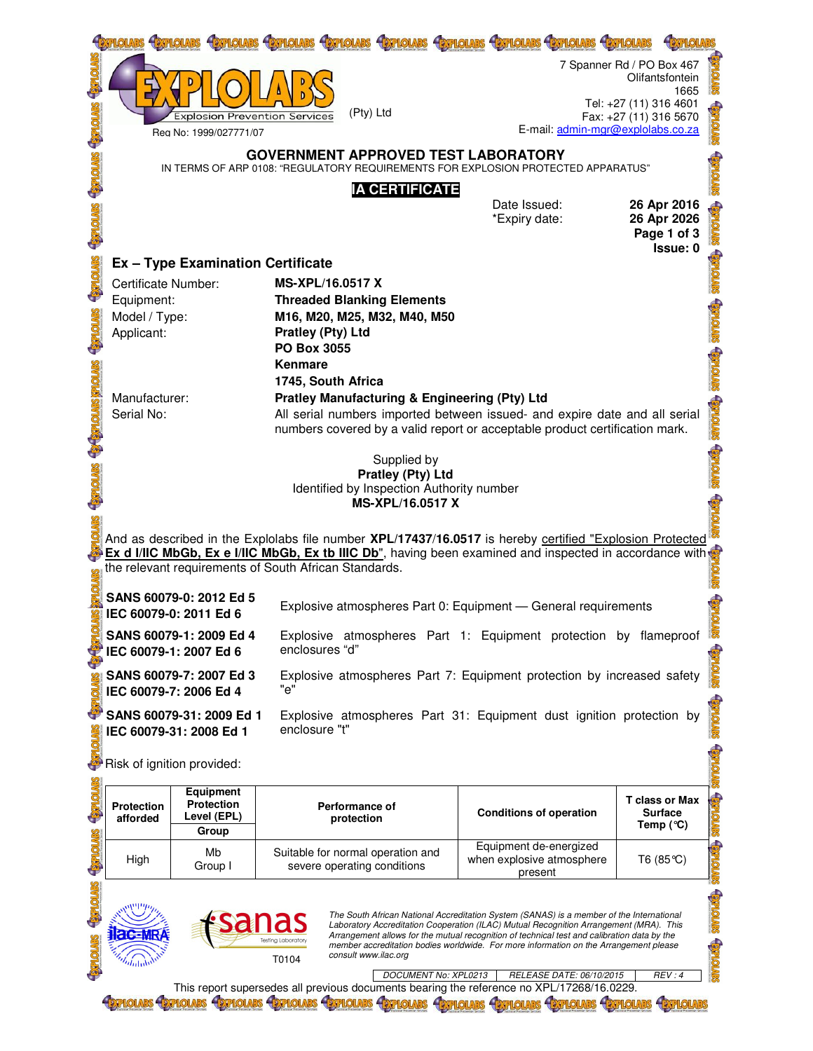| <b>HEXPLOIDES</b>                                                                                                               |                                                   | <b>EXPLOLARS EXPLOLARS EXPLOLARS EXPLOLARS EXPLOLARS EXPLOLARS</b>                                                                                                       |                                                     |                                                      |  |  |  |  |
|---------------------------------------------------------------------------------------------------------------------------------|---------------------------------------------------|--------------------------------------------------------------------------------------------------------------------------------------------------------------------------|-----------------------------------------------------|------------------------------------------------------|--|--|--|--|
|                                                                                                                                 |                                                   |                                                                                                                                                                          |                                                     | 7 Spanner Rd / PO Box 467<br>Olifantsfontein<br>1665 |  |  |  |  |
|                                                                                                                                 | <b>Explosion Prevention Services</b>              | (Pty) Ltd                                                                                                                                                                |                                                     | Tel: +27 (11) 316 4601<br>Fax: +27 (11) 316 5670     |  |  |  |  |
|                                                                                                                                 | Reg No: 1999/027771/07                            |                                                                                                                                                                          | E-mail: admin-mgr@explolabs.co.za                   |                                                      |  |  |  |  |
| <b>GOVERNMENT APPROVED TEST LABORATORY</b><br>IN TERMS OF ARP 0108: "REGULATORY REQUIREMENTS FOR EXPLOSION PROTECTED APPARATUS" |                                                   |                                                                                                                                                                          |                                                     |                                                      |  |  |  |  |
|                                                                                                                                 |                                                   | <b>IA CERTIFICATE</b>                                                                                                                                                    |                                                     |                                                      |  |  |  |  |
|                                                                                                                                 |                                                   |                                                                                                                                                                          | Date Issued:<br>*Expiry date:                       | 26 Apr 2016<br>26 Apr 2026                           |  |  |  |  |
|                                                                                                                                 |                                                   |                                                                                                                                                                          |                                                     | Page 1 of 3                                          |  |  |  |  |
| Issue: 0<br><b>Ex - Type Examination Certificate</b>                                                                            |                                                   |                                                                                                                                                                          |                                                     |                                                      |  |  |  |  |
| Certificate Number:                                                                                                             |                                                   | <b>MS-XPL/16.0517 X</b>                                                                                                                                                  |                                                     |                                                      |  |  |  |  |
| Equipment:                                                                                                                      |                                                   | <b>Threaded Blanking Elements</b>                                                                                                                                        |                                                     |                                                      |  |  |  |  |
| Model / Type:<br>Applicant:                                                                                                     |                                                   | M16, M20, M25, M32, M40, M50<br>Pratley (Pty) Ltd                                                                                                                        |                                                     |                                                      |  |  |  |  |
|                                                                                                                                 |                                                   | PO Box 3055                                                                                                                                                              |                                                     |                                                      |  |  |  |  |
|                                                                                                                                 |                                                   | <b>Kenmare</b>                                                                                                                                                           |                                                     |                                                      |  |  |  |  |
| Manufacturer:                                                                                                                   |                                                   | 1745, South Africa                                                                                                                                                       |                                                     |                                                      |  |  |  |  |
| Serial No:                                                                                                                      |                                                   | <b>Pratley Manufacturing &amp; Engineering (Pty) Ltd</b><br><b>EXPLOINS</b><br>All serial numbers imported between issued- and expire date and all serial                |                                                     |                                                      |  |  |  |  |
|                                                                                                                                 |                                                   | numbers covered by a valid report or acceptable product certification mark.                                                                                              |                                                     |                                                      |  |  |  |  |
|                                                                                                                                 |                                                   |                                                                                                                                                                          |                                                     |                                                      |  |  |  |  |
|                                                                                                                                 |                                                   |                                                                                                                                                                          |                                                     |                                                      |  |  |  |  |
|                                                                                                                                 |                                                   | Supplied by<br>Pratley (Pty) Ltd                                                                                                                                         |                                                     |                                                      |  |  |  |  |
|                                                                                                                                 |                                                   | Identified by Inspection Authority number<br><b>MS-XPL/16.0517 X</b>                                                                                                     |                                                     |                                                      |  |  |  |  |
|                                                                                                                                 |                                                   |                                                                                                                                                                          |                                                     |                                                      |  |  |  |  |
|                                                                                                                                 |                                                   | And as described in the Explolabs file number XPL/17437/16.0517 is hereby certified "Explosion Protected                                                                 |                                                     |                                                      |  |  |  |  |
|                                                                                                                                 |                                                   | <b>Ex d I/IIC MbGb, Ex e I/IIC MbGb, Ex tb IIIC Db</b> ", having been examined and inspected in accordance with<br>the relevant requirements of South African Standards. |                                                     |                                                      |  |  |  |  |
|                                                                                                                                 |                                                   |                                                                                                                                                                          |                                                     |                                                      |  |  |  |  |
|                                                                                                                                 | SANS 60079-0: 2012 Ed 5<br>IEC 60079-0: 2011 Ed 6 | Explosive atmospheres Part 0: Equipment - General requirements                                                                                                           |                                                     |                                                      |  |  |  |  |
|                                                                                                                                 | SANS 60079-1: 2009 Ed 4                           | Explosive atmospheres Part 1: Equipment protection by flameproof                                                                                                         |                                                     |                                                      |  |  |  |  |
|                                                                                                                                 | IEC 60079-1: 2007 Ed 6                            | enclosures "d"                                                                                                                                                           |                                                     |                                                      |  |  |  |  |
|                                                                                                                                 | SANS 60079-7: 2007 Ed 3                           | Explosive atmospheres Part 7: Equipment protection by increased safety                                                                                                   |                                                     |                                                      |  |  |  |  |
|                                                                                                                                 | IEC 60079-7: 2006 Ed 4                            | "e"                                                                                                                                                                      |                                                     |                                                      |  |  |  |  |
|                                                                                                                                 | SANS 60079-31: 2009 Ed 1                          | Explosive atmospheres Part 31: Equipment dust ignition protection by                                                                                                     |                                                     |                                                      |  |  |  |  |
|                                                                                                                                 | IEC 60079-31: 2008 Ed 1                           | enclosure "t"                                                                                                                                                            |                                                     |                                                      |  |  |  |  |
|                                                                                                                                 | Risk of ignition provided:                        |                                                                                                                                                                          |                                                     |                                                      |  |  |  |  |
|                                                                                                                                 | <b>Equipment</b>                                  |                                                                                                                                                                          |                                                     |                                                      |  |  |  |  |
| <b>Protection</b><br>afforded                                                                                                   | Protection<br>Level (EPL)                         | Performance of<br>protection                                                                                                                                             | <b>Conditions of operation</b>                      | <b>T</b> class or Max<br><b>Surface</b>              |  |  |  |  |
|                                                                                                                                 | Group                                             |                                                                                                                                                                          |                                                     | Temp $(°C)$                                          |  |  |  |  |
| <b>TOTAS-</b><br><b>STATOTAS</b><br>High                                                                                        | Mb<br>Group I                                     | Suitable for normal operation and<br>severe operating conditions                                                                                                         | Equipment de-energized<br>when explosive atmosphere | $T6(85^{\circ}\text{C})$                             |  |  |  |  |



The South African National Accreditation System (SANAS) is a member of the International<br>Laboratory Accreditation Cooperation (ILAC) Mutual Recognition Arrangement (MRA). This *Arrangement allows for the mutual recognition of technical test and calibration data by the member accreditation bodies worldwide. For more information on the Arrangement please consult www.ilac.org* 

*DOCUMENT No: XPL0213 RELEASE DATE: 06/10/2015 REV : 4* 

**STORE** 

This report supersedes all previous documents bearing the reference no XPL/17268/16.0229.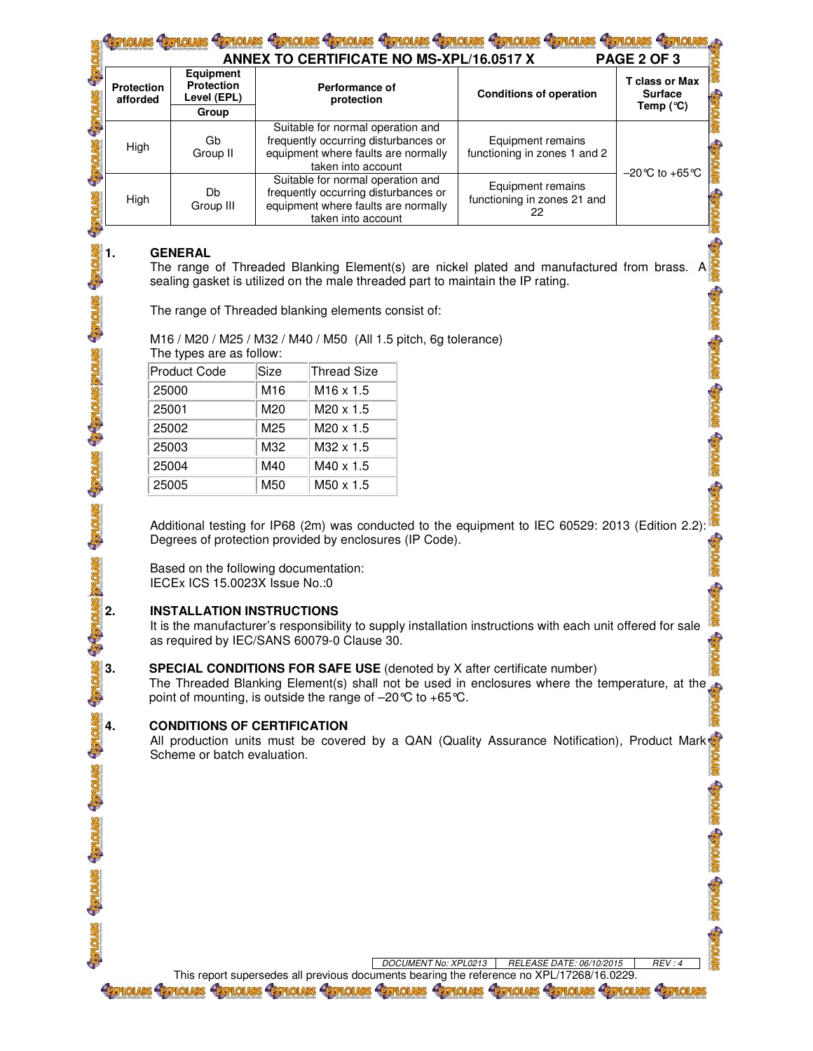| LOUAS CRITIQUES CRITIQUES CRITIQUES CRITIQUES CRITIQUES CRITIQUES CRITIQUES CRITIQUES<br>ANNEX TO CERTIFICATE NO MS-XPL/16.0517 X<br><b>PAGE 2 OF 3</b> |                                                               |                                                                                                                                        |                                                        |                                                          |      |                |                                                                                                                                        |
|---------------------------------------------------------------------------------------------------------------------------------------------------------|---------------------------------------------------------------|----------------------------------------------------------------------------------------------------------------------------------------|--------------------------------------------------------|----------------------------------------------------------|------|----------------|----------------------------------------------------------------------------------------------------------------------------------------|
| <b>Protection</b><br>afforded                                                                                                                           | <b>Equipment</b><br><b>Protection</b><br>Level (EPL)<br>Group | <b>Performance of</b><br>protection                                                                                                    | <b>Conditions of operation</b>                         | <b>T</b> class or Max<br><b>Surface</b><br>Temp ( $°C$ ) |      |                |                                                                                                                                        |
|                                                                                                                                                         |                                                               |                                                                                                                                        |                                                        |                                                          | High | Gb<br>Group II | Suitable for normal operation and<br>frequently occurring disturbances or<br>equipment where faults are normally<br>taken into account |
| High                                                                                                                                                    | Db<br>Group III                                               | Suitable for normal operation and<br>frequently occurring disturbances or<br>equipment where faults are normally<br>taken into account | Equipment remains<br>functioning in zones 21 and<br>22 | $-20^{\circ}$ C to +65 °C                                |      |                |                                                                                                                                        |

## **1. GENERAL**

**LOLARS RAPIOL** 

The range of Threaded Blanking Element(s) are nickel plated and manufactured from brass. A sealing gasket is utilized on the male threaded part to maintain the IP rating.

de la

**NEH** 

**TOLDS + 379** 

The range of Threaded blanking elements consist of:

M16 / M20 / M25 / M32 / M40 / M50 (All 1.5 pitch, 6g tolerance) The types are as follow:

| <b>Product Code</b> | Size | Thread Size      |
|---------------------|------|------------------|
| 25000               | M16  | $M16 \times 1.5$ |
| 25001               | M20  | $M20 \times 1.5$ |
| 25002               | M25  | $M20 \times 1.5$ |
| 25003               | M32  | $M32 \times 1.5$ |
| 25004               | M40  | $M40 \times 1.5$ |
| 25005               | M50  | $M50 \times 1.5$ |

Additional testing for IP68 (2m) was conducted to the equipment to IEC 60529: 2013 (Edition 2.2): Degrees of protection provided by enclosures (IP Code).

Based on the following documentation: IECEx ICS 15.0023X Issue No.:0

## **2. INSTALLATION INSTRUCTIONS**

It is the manufacturer's responsibility to supply installation instructions with each unit offered for sale as required by IEC/SANS 60079-0 Clause 30.

**3. SPECIAL CONDITIONS FOR SAFE USE** (denoted by X after certificate number)

The Threaded Blanking Element(s) shall not be used in enclosures where the temperature, at the point of mounting, is outside the range of –20°C to +65°C.

## **4. CONDITIONS OF CERTIFICATION**

All production units must be covered by a QAN (Quality Assurance Notification), Product Mark Scheme or batch evaluation. **SENTIOT**